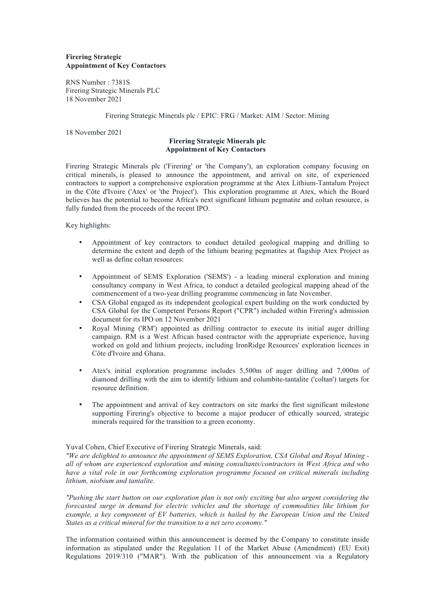# **Firering Strategic Appointment of Key Contactors**

RNS Number : 7381S Firering Strategic Minerals PLC 18 November 2021

Firering Strategic Minerals plc / EPIC: FRG / Market: AIM / Sector: Mining

18 November 2021

## **Firering Strategic Minerals plc Appointment of Key Contactors**

Firering Strategic Minerals plc ('Firering' or 'the Company'), an exploration company focusing on critical minerals, is pleased to announce the appointment, and arrival on site, of experienced contractors to support a comprehensive exploration programme at the Atex Lithium-Tantalum Project in the Côte d'Ivoire ('Atex' or 'the Project'). This exploration programme at Atex, which the Board believes has the potential to become Africa's next significant lithium pegmatite and coltan resource, is fully funded from the proceeds of the recent IPO.

## Key highlights:

- Appointment of key contractors to conduct detailed geological mapping and drilling to determine the extent and depth of the lithium bearing pegmatites at flagship Atex Project as well as define coltan resources:
- Appointment of SEMS Exploration ('SEMS') a leading mineral exploration and mining consultancy company in West Africa, to conduct a detailed geological mapping ahead of the commencement of a two-year drilling programme commencing in late November.
- CSA Global engaged as its independent geological expert building on the work conducted by CSA Global for the Competent Persons Report ("CPR") included within Firering's admission document for its IPO on 12 November 2021
- Royal Mining ('RM') appointed as drilling contractor to execute its initial auger drilling campaign. RM is a West African based contractor with the appropriate experience, having worked on gold and lithium projects, including IronRidge Resources' exploration licences in Côte d'Ivoire and Ghana.
- Atex's initial exploration programme includes 5,500m of auger drilling and 7,000m of diamond drilling with the aim to identify lithium and columbite-tantalite ('coltan') targets for resource definition.
- The appointment and arrival of key contractors on site marks the first significant milestone supporting Firering's objective to become a major producer of ethically sourced, strategic minerals required for the transition to a green economy.

## Yuval Cohen, Chief Executive of Firering Strategic Minerals, said:

*"We are delighted to announce the appointment of SEMS Exploration, CSA Global and Royal Mining all of whom are experienced exploration and mining consultants/contractors in West Africa and who have a vital role in our forthcoming exploration programme focused on critical minerals including lithium, niobium and tantalite.*

*"Pushing the start button on our exploration plan is not only exciting but also urgent considering the forecasted surge in demand for electric vehicles and the shortage of commodities like lithium for example, a key component of EV batteries, which is hailed by the European Union and the United States as a critical mineral for the transition to a net zero economy."*

The information contained within this announcement is deemed by the Company to constitute inside information as stipulated under the Regulation 11 of the Market Abuse (Amendment) (EU Exit) Regulations 2019/310 ("MAR"). With the publication of this announcement via a Regulatory